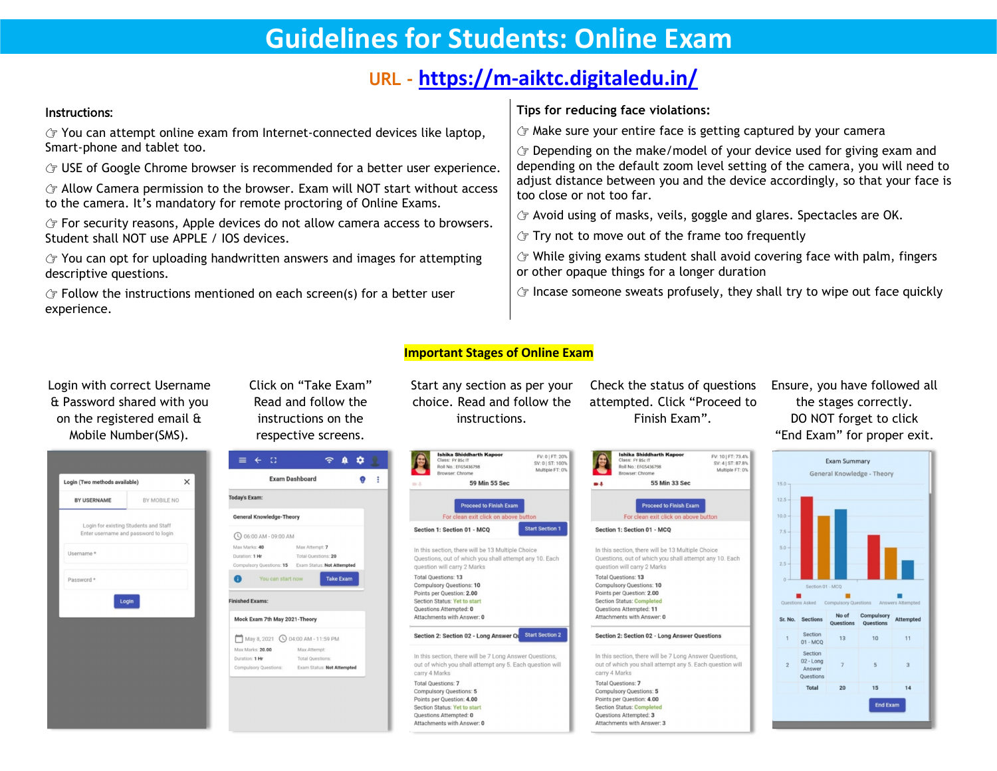# **Guidelines for Students: Online Exam**

## **URL - <https://m-aiktc.digitaledu.in/>**

#### Instructions:  $\mathcal{F}$  You can attempt online exam from Internet-connected devices like laptop, Smart-phone and tablet too.  $\mathcal{F}$  USE of Google Chrome browser is recommended for a better user experience.  $\Im$  Allow Camera permission to the browser. Exam will NOT start without access to the camera. It's mandatory for remote proctoring of Online Exams.  $\mathcal{F}$  For security reasons, Apple devices do not allow camera access to browsers. Student shall NOT use APPLE / IOS devices.  $\Im$  You can opt for uploading handwritten answers and images for attempting descriptive questions.  $\sigma$  Follow the instructions mentioned on each screen(s) for a better user **Tips for reducing face violations:** Make sure your entire face is getting captured by your camera Depending on the make/model of your device used for giving exam and depending on the default zoom level setting of the camera, you will need to adjust distance between you and the device accordingly, so that your face is too close or not too far. Avoid using of masks, veils, goggle and glares. Spectacles are OK.  $\sqrt{\tau}$  Try not to move out of the frame too frequently  $G$  While giving exams student shall avoid covering face with palm, fingers or other opaque things for a longer duration  $\mathcal{F}$  Incase someone sweats profusely, they shall try to wipe out face quickly

### **Important Stages of Online Exam**

lick on "Take Exam" Start any section as per your Check the start and follow the choice. Read and follow the attempted. C<br>instructions on the instructions. Finish respective screens. choice. Read and follow the

y section as per your Check the status of questions Ensure, you ha<br>Read and follow the attempted. Click "Proceed to the stages<br>instructions. Finish Exam". DO NOT for attempted. Click "Proceed to Check the status of questions Ensure, you have followed all<br>attempted. Click "Proceed to the stages correctly.<br>Finish Exam". DO NOT forget to click

55 Min 33 Sec

Proceed to Finish Exam

EV: 10 LET: 73 4%

SV: 4 | ST: 87.8%

Multiple FT: 0%

the stages correctly. DO NOT forget to click "End Exam" for proper exit.



Login with correct Username Click on "Take Exam" & Password shared with you on the registered email & in with correct Username Click on "Take Exam" Start any section as<br>assword shared with you Read and follow the choice. Read and for<br>the registered email  $\frac{a}{b}$  instructions on the instructions<br>Mobile Number(SMS). respec

experience.



instructions on the





**Ishika Shiddharth Kapoor** 

lass: FY BSc IT

Browser: Chrome

**Poll No : EEGS436798**